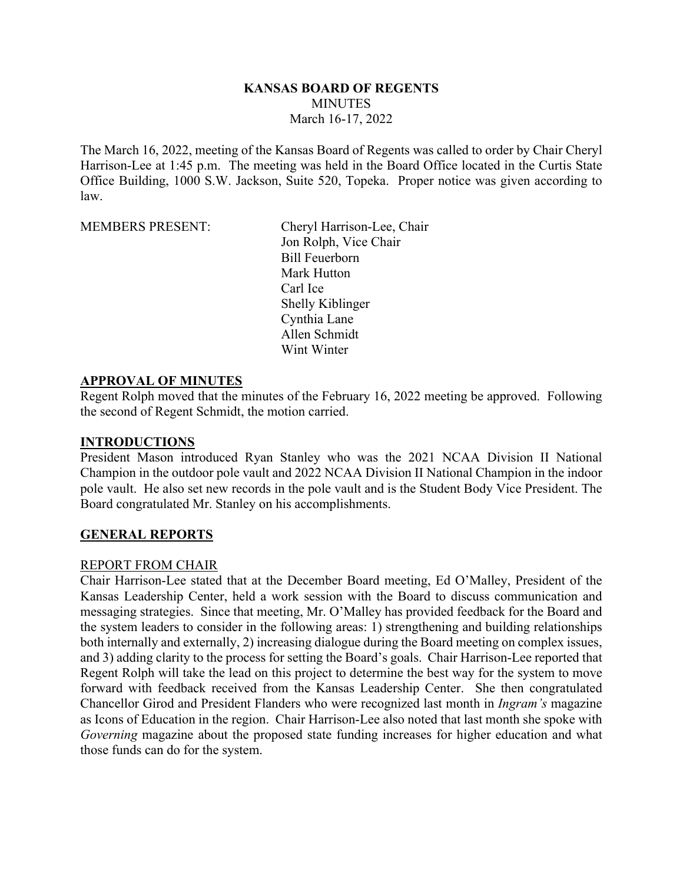#### **KANSAS BOARD OF REGENTS MINUTES** March 16-17, 2022

The March 16, 2022, meeting of the Kansas Board of Regents was called to order by Chair Cheryl Harrison-Lee at 1:45 p.m. The meeting was held in the Board Office located in the Curtis State Office Building, 1000 S.W. Jackson, Suite 520, Topeka. Proper notice was given according to law.

MEMBERS PRESENT: Cheryl Harrison-Lee, Chair Jon Rolph, Vice Chair Bill Feuerborn Mark Hutton Carl Ice Shelly Kiblinger Cynthia Lane Allen Schmidt Wint Winter

#### **APPROVAL OF MINUTES**

Regent Rolph moved that the minutes of the February 16, 2022 meeting be approved. Following the second of Regent Schmidt, the motion carried.

#### **INTRODUCTIONS**

President Mason introduced Ryan Stanley who was the 2021 NCAA Division II National Champion in the outdoor pole vault and 2022 NCAA Division II National Champion in the indoor pole vault. He also set new records in the pole vault and is the Student Body Vice President. The Board congratulated Mr. Stanley on his accomplishments.

#### **GENERAL REPORTS**

#### REPORT FROM CHAIR

Chair Harrison-Lee stated that at the December Board meeting, Ed O'Malley, President of the Kansas Leadership Center, held a work session with the Board to discuss communication and messaging strategies. Since that meeting, Mr. O'Malley has provided feedback for the Board and the system leaders to consider in the following areas: 1) strengthening and building relationships both internally and externally, 2) increasing dialogue during the Board meeting on complex issues, and 3) adding clarity to the process for setting the Board's goals. Chair Harrison-Lee reported that Regent Rolph will take the lead on this project to determine the best way for the system to move forward with feedback received from the Kansas Leadership Center. She then congratulated Chancellor Girod and President Flanders who were recognized last month in *Ingram's* magazine as Icons of Education in the region. Chair Harrison-Lee also noted that last month she spoke with *Governing* magazine about the proposed state funding increases for higher education and what those funds can do for the system.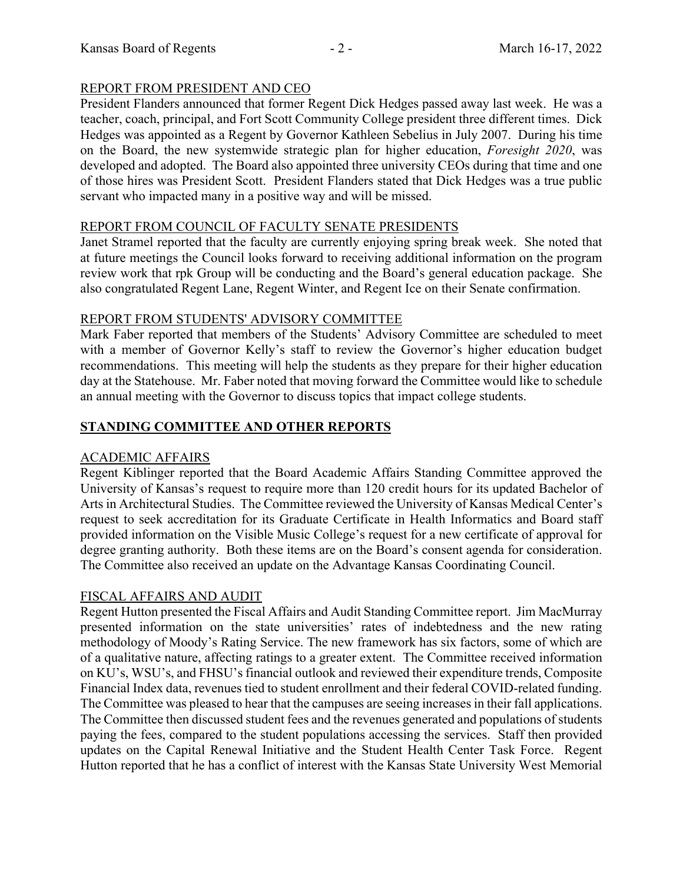#### REPORT FROM PRESIDENT AND CEO

President Flanders announced that former Regent Dick Hedges passed away last week. He was a teacher, coach, principal, and Fort Scott Community College president three different times. Dick Hedges was appointed as a Regent by Governor Kathleen Sebelius in July 2007. During his time on the Board, the new systemwide strategic plan for higher education, *Foresight 2020*, was developed and adopted. The Board also appointed three university CEOs during that time and one of those hires was President Scott. President Flanders stated that Dick Hedges was a true public servant who impacted many in a positive way and will be missed.

#### REPORT FROM COUNCIL OF FACULTY SENATE PRESIDENTS

Janet Stramel reported that the faculty are currently enjoying spring break week. She noted that at future meetings the Council looks forward to receiving additional information on the program review work that rpk Group will be conducting and the Board's general education package. She also congratulated Regent Lane, Regent Winter, and Regent Ice on their Senate confirmation.

#### REPORT FROM STUDENTS' ADVISORY COMMITTEE

Mark Faber reported that members of the Students' Advisory Committee are scheduled to meet with a member of Governor Kelly's staff to review the Governor's higher education budget recommendations. This meeting will help the students as they prepare for their higher education day at the Statehouse. Mr. Faber noted that moving forward the Committee would like to schedule an annual meeting with the Governor to discuss topics that impact college students.

## **STANDING COMMITTEE AND OTHER REPORTS**

## ACADEMIC AFFAIRS

Regent Kiblinger reported that the Board Academic Affairs Standing Committee approved the University of Kansas's request to require more than 120 credit hours for its updated Bachelor of Arts in Architectural Studies. The Committee reviewed the University of Kansas Medical Center's request to seek accreditation for its Graduate Certificate in Health Informatics and Board staff provided information on the Visible Music College's request for a new certificate of approval for degree granting authority. Both these items are on the Board's consent agenda for consideration. The Committee also received an update on the Advantage Kansas Coordinating Council.

## FISCAL AFFAIRS AND AUDIT

Regent Hutton presented the Fiscal Affairs and Audit Standing Committee report. Jim MacMurray presented information on the state universities' rates of indebtedness and the new rating methodology of Moody's Rating Service. The new framework has six factors, some of which are of a qualitative nature, affecting ratings to a greater extent. The Committee received information on KU's, WSU's, and FHSU's financial outlook and reviewed their expenditure trends, Composite Financial Index data, revenues tied to student enrollment and their federal COVID-related funding. The Committee was pleased to hear that the campuses are seeing increases in their fall applications. The Committee then discussed student fees and the revenues generated and populations of students paying the fees, compared to the student populations accessing the services. Staff then provided updates on the Capital Renewal Initiative and the Student Health Center Task Force. Regent Hutton reported that he has a conflict of interest with the Kansas State University West Memorial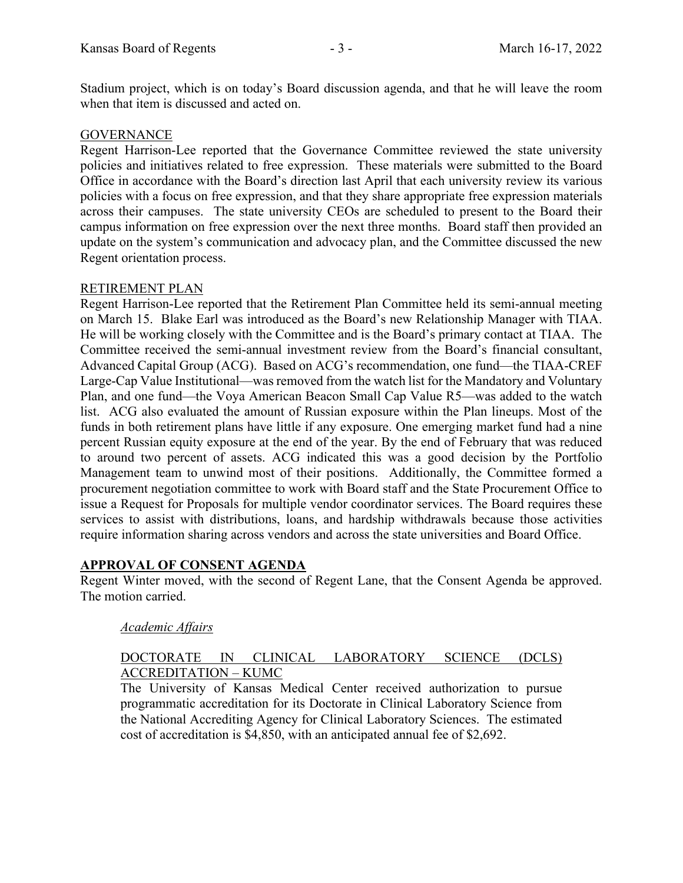Stadium project, which is on today's Board discussion agenda, and that he will leave the room when that item is discussed and acted on.

#### **GOVERNANCE**

Regent Harrison-Lee reported that the Governance Committee reviewed the state university policies and initiatives related to free expression. These materials were submitted to the Board Office in accordance with the Board's direction last April that each university review its various policies with a focus on free expression, and that they share appropriate free expression materials across their campuses. The state university CEOs are scheduled to present to the Board their campus information on free expression over the next three months. Board staff then provided an update on the system's communication and advocacy plan, and the Committee discussed the new Regent orientation process.

#### RETIREMENT PLAN

Regent Harrison-Lee reported that the Retirement Plan Committee held its semi-annual meeting on March 15. Blake Earl was introduced as the Board's new Relationship Manager with TIAA. He will be working closely with the Committee and is the Board's primary contact at TIAA. The Committee received the semi-annual investment review from the Board's financial consultant, Advanced Capital Group (ACG). Based on ACG's recommendation, one fund—the TIAA-CREF Large-Cap Value Institutional—was removed from the watch list for the Mandatory and Voluntary Plan, and one fund—the Voya American Beacon Small Cap Value R5—was added to the watch list. ACG also evaluated the amount of Russian exposure within the Plan lineups. Most of the funds in both retirement plans have little if any exposure. One emerging market fund had a nine percent Russian equity exposure at the end of the year. By the end of February that was reduced to around two percent of assets. ACG indicated this was a good decision by the Portfolio Management team to unwind most of their positions. Additionally, the Committee formed a procurement negotiation committee to work with Board staff and the State Procurement Office to issue a Request for Proposals for multiple vendor coordinator services. The Board requires these services to assist with distributions, loans, and hardship withdrawals because those activities require information sharing across vendors and across the state universities and Board Office.

## **APPROVAL OF CONSENT AGENDA**

Regent Winter moved, with the second of Regent Lane, that the Consent Agenda be approved. The motion carried.

#### *Academic Affairs*

#### DOCTORATE IN CLINICAL LABORATORY SCIENCE (DCLS) ACCREDITATION – KUMC

The University of Kansas Medical Center received authorization to pursue programmatic accreditation for its Doctorate in Clinical Laboratory Science from the National Accrediting Agency for Clinical Laboratory Sciences. The estimated cost of accreditation is \$4,850, with an anticipated annual fee of \$2,692.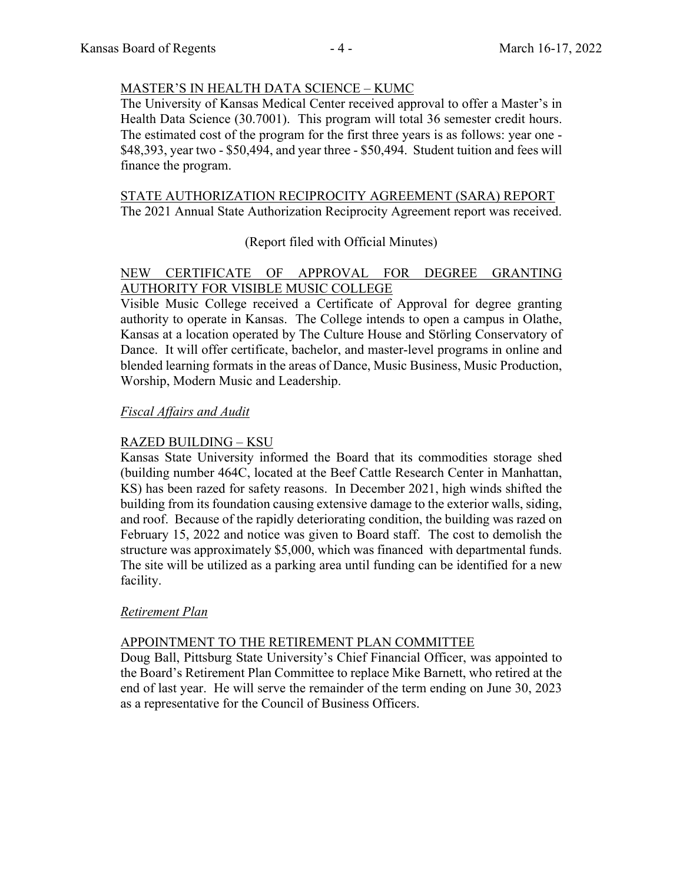## MASTER'S IN HEALTH DATA SCIENCE – KUMC

The University of Kansas Medical Center received approval to offer a Master's in Health Data Science (30.7001). This program will total 36 semester credit hours. The estimated cost of the program for the first three years is as follows: year one - \$48,393, year two - \$50,494, and year three - \$50,494. Student tuition and fees will finance the program.

#### STATE AUTHORIZATION RECIPROCITY AGREEMENT (SARA) REPORT The 2021 Annual State Authorization Reciprocity Agreement report was received.

## (Report filed with Official Minutes)

# NEW CERTIFICATE OF APPROVAL FOR DEGREE GRANTING AUTHORITY FOR VISIBLE MUSIC COLLEGE

Visible Music College received a Certificate of Approval for degree granting authority to operate in Kansas. The College intends to open a campus in Olathe, Kansas at a location operated by The Culture House and Störling Conservatory of Dance. It will offer certificate, bachelor, and master-level programs in online and blended learning formats in the areas of Dance, Music Business, Music Production, Worship, Modern Music and Leadership.

## *Fiscal Affairs and Audit*

## RAZED BUILDING – KSU

Kansas State University informed the Board that its commodities storage shed (building number 464C, located at the Beef Cattle Research Center in Manhattan, KS) has been razed for safety reasons. In December 2021, high winds shifted the building from its foundation causing extensive damage to the exterior walls, siding, and roof. Because of the rapidly deteriorating condition, the building was razed on February 15, 2022 and notice was given to Board staff. The cost to demolish the structure was approximately \$5,000, which was financed with departmental funds. The site will be utilized as a parking area until funding can be identified for a new facility.

## *Retirement Plan*

## APPOINTMENT TO THE RETIREMENT PLAN COMMITTEE

Doug Ball, Pittsburg State University's Chief Financial Officer, was appointed to the Board's Retirement Plan Committee to replace Mike Barnett, who retired at the end of last year. He will serve the remainder of the term ending on June 30, 2023 as a representative for the Council of Business Officers.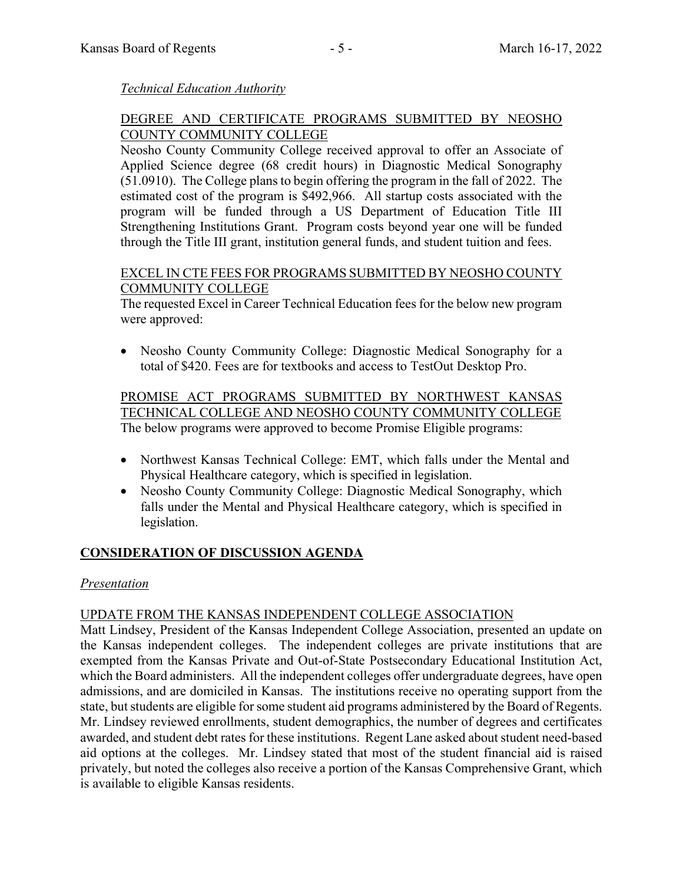#### *Technical Education Authority*

#### DEGREE AND CERTIFICATE PROGRAMS SUBMITTED BY NEOSHO COUNTY COMMUNITY COLLEGE

Neosho County Community College received approval to offer an Associate of Applied Science degree (68 credit hours) in Diagnostic Medical Sonography (51.0910). The College plans to begin offering the program in the fall of 2022. The estimated cost of the program is \$492,966. All startup costs associated with the program will be funded through a US Department of Education Title III Strengthening Institutions Grant. Program costs beyond year one will be funded through the Title III grant, institution general funds, and student tuition and fees.

#### EXCEL IN CTE FEES FOR PROGRAMS SUBMITTED BY NEOSHO COUNTY COMMUNITY COLLEGE

The requested Excel in Career Technical Education fees for the below new program were approved:

 Neosho County Community College: Diagnostic Medical Sonography for a total of \$420. Fees are for textbooks and access to TestOut Desktop Pro.

PROMISE ACT PROGRAMS SUBMITTED BY NORTHWEST KANSAS TECHNICAL COLLEGE AND NEOSHO COUNTY COMMUNITY COLLEGE The below programs were approved to become Promise Eligible programs:

- Northwest Kansas Technical College: EMT, which falls under the Mental and Physical Healthcare category, which is specified in legislation.
- Neosho County Community College: Diagnostic Medical Sonography, which falls under the Mental and Physical Healthcare category, which is specified in legislation.

## **CONSIDERATION OF DISCUSSION AGENDA**

## *Presentation*

## UPDATE FROM THE KANSAS INDEPENDENT COLLEGE ASSOCIATION

Matt Lindsey, President of the Kansas Independent College Association, presented an update on the Kansas independent colleges. The independent colleges are private institutions that are exempted from the Kansas Private and Out-of-State Postsecondary Educational Institution Act, which the Board administers. All the independent colleges offer undergraduate degrees, have open admissions, and are domiciled in Kansas. The institutions receive no operating support from the state, but students are eligible for some student aid programs administered by the Board of Regents. Mr. Lindsey reviewed enrollments, student demographics, the number of degrees and certificates awarded, and student debt rates for these institutions. Regent Lane asked about student need-based aid options at the colleges. Mr. Lindsey stated that most of the student financial aid is raised privately, but noted the colleges also receive a portion of the Kansas Comprehensive Grant, which is available to eligible Kansas residents.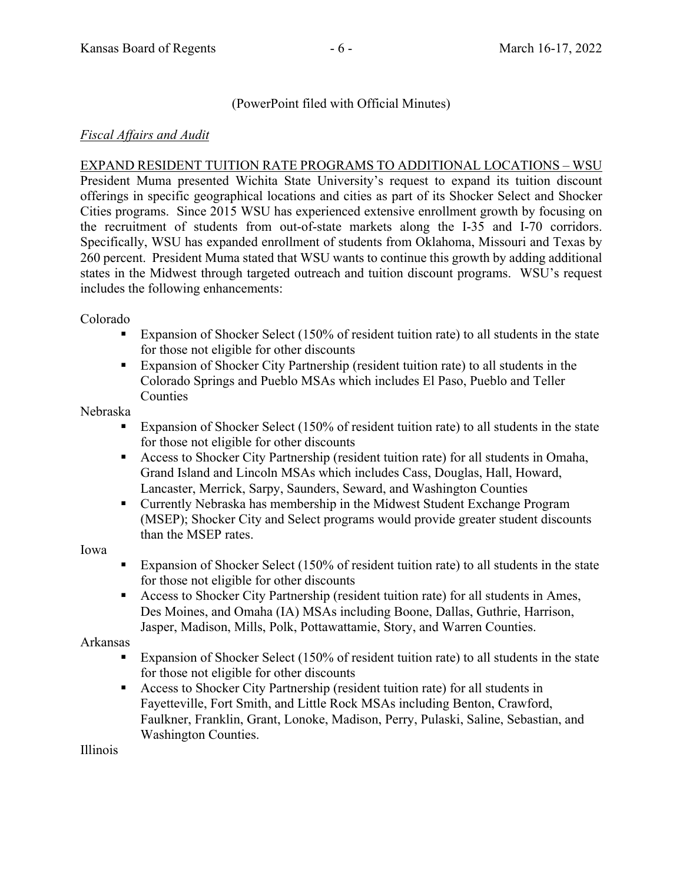## (PowerPoint filed with Official Minutes)

#### *Fiscal Affairs and Audit*

EXPAND RESIDENT TUITION RATE PROGRAMS TO ADDITIONAL LOCATIONS – WSU

President Muma presented Wichita State University's request to expand its tuition discount offerings in specific geographical locations and cities as part of its Shocker Select and Shocker Cities programs. Since 2015 WSU has experienced extensive enrollment growth by focusing on the recruitment of students from out-of-state markets along the I-35 and I-70 corridors. Specifically, WSU has expanded enrollment of students from Oklahoma, Missouri and Texas by 260 percent. President Muma stated that WSU wants to continue this growth by adding additional states in the Midwest through targeted outreach and tuition discount programs. WSU's request includes the following enhancements:

Colorado

- **Expansion of Shocker Select (150% of resident tuition rate) to all students in the state** for those not eligible for other discounts
- Expansion of Shocker City Partnership (resident tuition rate) to all students in the Colorado Springs and Pueblo MSAs which includes El Paso, Pueblo and Teller Counties

Nebraska

- Expansion of Shocker Select (150% of resident tuition rate) to all students in the state for those not eligible for other discounts
- Access to Shocker City Partnership (resident tuition rate) for all students in Omaha, Grand Island and Lincoln MSAs which includes Cass, Douglas, Hall, Howard, Lancaster, Merrick, Sarpy, Saunders, Seward, and Washington Counties
- Currently Nebraska has membership in the Midwest Student Exchange Program (MSEP); Shocker City and Select programs would provide greater student discounts than the MSEP rates.

Iowa

- **Expansion of Shocker Select (150% of resident tuition rate) to all students in the state** for those not eligible for other discounts
- Access to Shocker City Partnership (resident tuition rate) for all students in Ames, Des Moines, and Omaha (IA) MSAs including Boone, Dallas, Guthrie, Harrison, Jasper, Madison, Mills, Polk, Pottawattamie, Story, and Warren Counties.

Arkansas

- **Expansion of Shocker Select (150% of resident tuition rate) to all students in the state** for those not eligible for other discounts
- Access to Shocker City Partnership (resident tuition rate) for all students in Fayetteville, Fort Smith, and Little Rock MSAs including Benton, Crawford, Faulkner, Franklin, Grant, Lonoke, Madison, Perry, Pulaski, Saline, Sebastian, and Washington Counties.

Illinois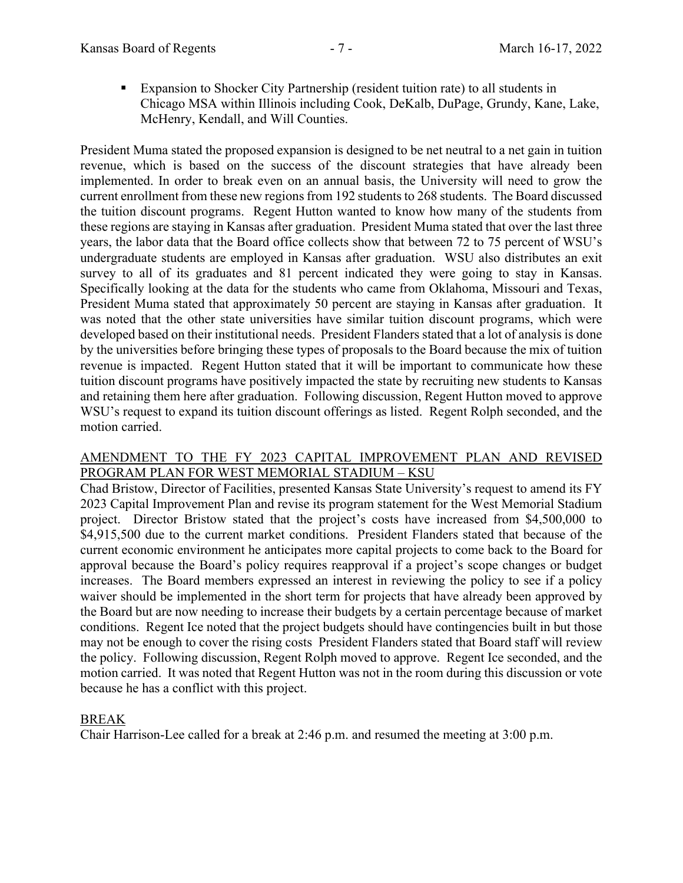Expansion to Shocker City Partnership (resident tuition rate) to all students in Chicago MSA within Illinois including Cook, DeKalb, DuPage, Grundy, Kane, Lake, McHenry, Kendall, and Will Counties.

President Muma stated the proposed expansion is designed to be net neutral to a net gain in tuition revenue, which is based on the success of the discount strategies that have already been implemented. In order to break even on an annual basis, the University will need to grow the current enrollment from these new regions from 192 students to 268 students. The Board discussed the tuition discount programs. Regent Hutton wanted to know how many of the students from these regions are staying in Kansas after graduation. President Muma stated that over the last three years, the labor data that the Board office collects show that between 72 to 75 percent of WSU's undergraduate students are employed in Kansas after graduation. WSU also distributes an exit survey to all of its graduates and 81 percent indicated they were going to stay in Kansas. Specifically looking at the data for the students who came from Oklahoma, Missouri and Texas, President Muma stated that approximately 50 percent are staying in Kansas after graduation. It was noted that the other state universities have similar tuition discount programs, which were developed based on their institutional needs. President Flanders stated that a lot of analysis is done by the universities before bringing these types of proposals to the Board because the mix of tuition revenue is impacted. Regent Hutton stated that it will be important to communicate how these tuition discount programs have positively impacted the state by recruiting new students to Kansas and retaining them here after graduation. Following discussion, Regent Hutton moved to approve WSU's request to expand its tuition discount offerings as listed. Regent Rolph seconded, and the motion carried.

#### AMENDMENT TO THE FY 2023 CAPITAL IMPROVEMENT PLAN AND REVISED PROGRAM PLAN FOR WEST MEMORIAL STADIUM – KSU

Chad Bristow, Director of Facilities, presented Kansas State University's request to amend its FY 2023 Capital Improvement Plan and revise its program statement for the West Memorial Stadium project. Director Bristow stated that the project's costs have increased from \$4,500,000 to \$4,915,500 due to the current market conditions. President Flanders stated that because of the current economic environment he anticipates more capital projects to come back to the Board for approval because the Board's policy requires reapproval if a project's scope changes or budget increases. The Board members expressed an interest in reviewing the policy to see if a policy waiver should be implemented in the short term for projects that have already been approved by the Board but are now needing to increase their budgets by a certain percentage because of market conditions. Regent Ice noted that the project budgets should have contingencies built in but those may not be enough to cover the rising costs President Flanders stated that Board staff will review the policy. Following discussion, Regent Rolph moved to approve. Regent Ice seconded, and the motion carried. It was noted that Regent Hutton was not in the room during this discussion or vote because he has a conflict with this project.

## BREAK

Chair Harrison-Lee called for a break at 2:46 p.m. and resumed the meeting at 3:00 p.m.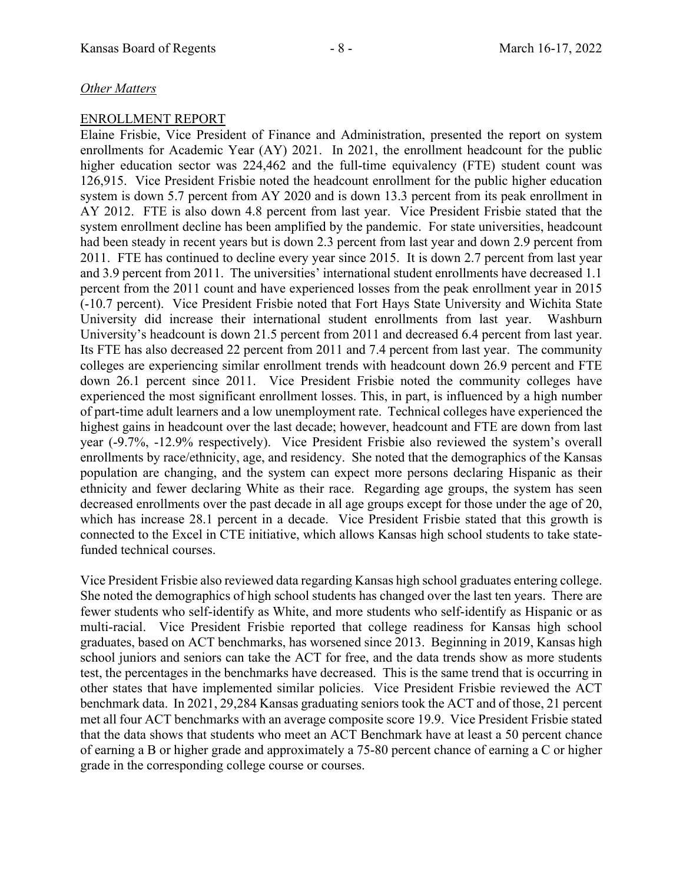## *Other Matters*

#### ENROLLMENT REPORT

Elaine Frisbie, Vice President of Finance and Administration, presented the report on system enrollments for Academic Year (AY) 2021. In 2021, the enrollment headcount for the public higher education sector was 224,462 and the full-time equivalency (FTE) student count was 126,915. Vice President Frisbie noted the headcount enrollment for the public higher education system is down 5.7 percent from AY 2020 and is down 13.3 percent from its peak enrollment in AY 2012. FTE is also down 4.8 percent from last year. Vice President Frisbie stated that the system enrollment decline has been amplified by the pandemic. For state universities, headcount had been steady in recent years but is down 2.3 percent from last year and down 2.9 percent from 2011. FTE has continued to decline every year since 2015. It is down 2.7 percent from last year and 3.9 percent from 2011. The universities' international student enrollments have decreased 1.1 percent from the 2011 count and have experienced losses from the peak enrollment year in 2015 (-10.7 percent). Vice President Frisbie noted that Fort Hays State University and Wichita State University did increase their international student enrollments from last year. Washburn University's headcount is down 21.5 percent from 2011 and decreased 6.4 percent from last year. Its FTE has also decreased 22 percent from 2011 and 7.4 percent from last year. The community colleges are experiencing similar enrollment trends with headcount down 26.9 percent and FTE down 26.1 percent since 2011. Vice President Frisbie noted the community colleges have experienced the most significant enrollment losses. This, in part, is influenced by a high number of part-time adult learners and a low unemployment rate. Technical colleges have experienced the highest gains in headcount over the last decade; however, headcount and FTE are down from last year (-9.7%, -12.9% respectively). Vice President Frisbie also reviewed the system's overall enrollments by race/ethnicity, age, and residency. She noted that the demographics of the Kansas population are changing, and the system can expect more persons declaring Hispanic as their ethnicity and fewer declaring White as their race. Regarding age groups, the system has seen decreased enrollments over the past decade in all age groups except for those under the age of 20, which has increase 28.1 percent in a decade. Vice President Frisbie stated that this growth is connected to the Excel in CTE initiative, which allows Kansas high school students to take statefunded technical courses.

Vice President Frisbie also reviewed data regarding Kansas high school graduates entering college. She noted the demographics of high school students has changed over the last ten years. There are fewer students who self-identify as White, and more students who self-identify as Hispanic or as multi-racial. Vice President Frisbie reported that college readiness for Kansas high school graduates, based on ACT benchmarks, has worsened since 2013. Beginning in 2019, Kansas high school juniors and seniors can take the ACT for free, and the data trends show as more students test, the percentages in the benchmarks have decreased. This is the same trend that is occurring in other states that have implemented similar policies. Vice President Frisbie reviewed the ACT benchmark data. In 2021, 29,284 Kansas graduating seniors took the ACT and of those, 21 percent met all four ACT benchmarks with an average composite score 19.9. Vice President Frisbie stated that the data shows that students who meet an ACT Benchmark have at least a 50 percent chance of earning a B or higher grade and approximately a 75-80 percent chance of earning a C or higher grade in the corresponding college course or courses.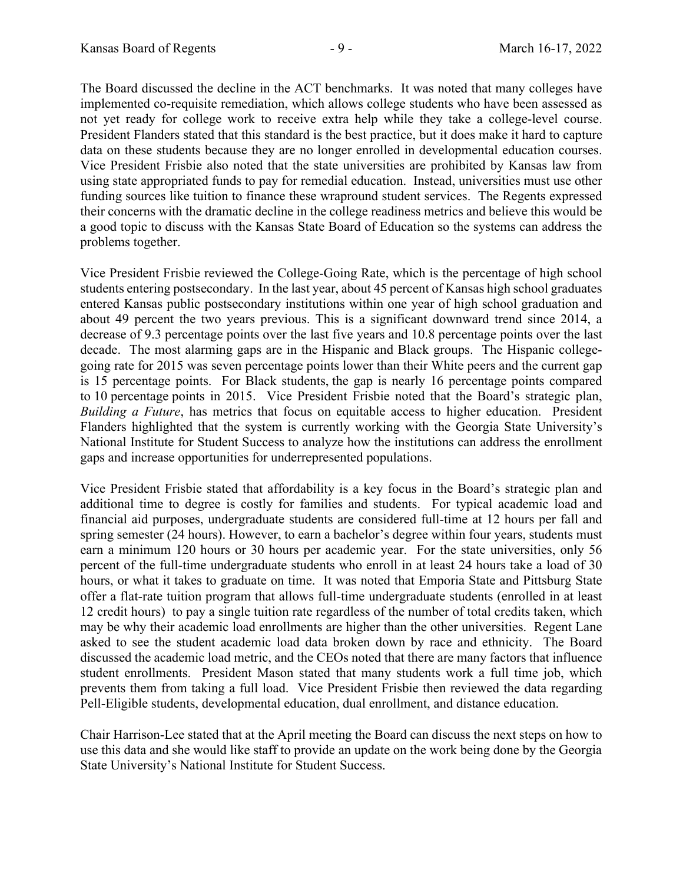The Board discussed the decline in the ACT benchmarks. It was noted that many colleges have implemented co-requisite remediation, which allows college students who have been assessed as not yet ready for college work to receive extra help while they take a college-level course. President Flanders stated that this standard is the best practice, but it does make it hard to capture data on these students because they are no longer enrolled in developmental education courses. Vice President Frisbie also noted that the state universities are prohibited by Kansas law from using state appropriated funds to pay for remedial education. Instead, universities must use other funding sources like tuition to finance these wrapround student services. The Regents expressed their concerns with the dramatic decline in the college readiness metrics and believe this would be a good topic to discuss with the Kansas State Board of Education so the systems can address the problems together.

Vice President Frisbie reviewed the College-Going Rate, which is the percentage of high school students entering postsecondary. In the last year, about 45 percent of Kansas high school graduates entered Kansas public postsecondary institutions within one year of high school graduation and about 49 percent the two years previous. This is a significant downward trend since 2014, a decrease of 9.3 percentage points over the last five years and 10.8 percentage points over the last decade. The most alarming gaps are in the Hispanic and Black groups. The Hispanic collegegoing rate for 2015 was seven percentage points lower than their White peers and the current gap is 15 percentage points. For Black students, the gap is nearly 16 percentage points compared to 10 percentage points in 2015. Vice President Frisbie noted that the Board's strategic plan, *Building a Future*, has metrics that focus on equitable access to higher education. President Flanders highlighted that the system is currently working with the Georgia State University's National Institute for Student Success to analyze how the institutions can address the enrollment gaps and increase opportunities for underrepresented populations.

Vice President Frisbie stated that affordability is a key focus in the Board's strategic plan and additional time to degree is costly for families and students. For typical academic load and financial aid purposes, undergraduate students are considered full-time at 12 hours per fall and spring semester (24 hours). However, to earn a bachelor's degree within four years, students must earn a minimum 120 hours or 30 hours per academic year. For the state universities, only 56 percent of the full-time undergraduate students who enroll in at least 24 hours take a load of 30 hours, or what it takes to graduate on time. It was noted that Emporia State and Pittsburg State offer a flat-rate tuition program that allows full-time undergraduate students (enrolled in at least 12 credit hours) to pay a single tuition rate regardless of the number of total credits taken, which may be why their academic load enrollments are higher than the other universities. Regent Lane asked to see the student academic load data broken down by race and ethnicity. The Board discussed the academic load metric, and the CEOs noted that there are many factors that influence student enrollments. President Mason stated that many students work a full time job, which prevents them from taking a full load. Vice President Frisbie then reviewed the data regarding Pell-Eligible students, developmental education, dual enrollment, and distance education.

Chair Harrison-Lee stated that at the April meeting the Board can discuss the next steps on how to use this data and she would like staff to provide an update on the work being done by the Georgia State University's National Institute for Student Success.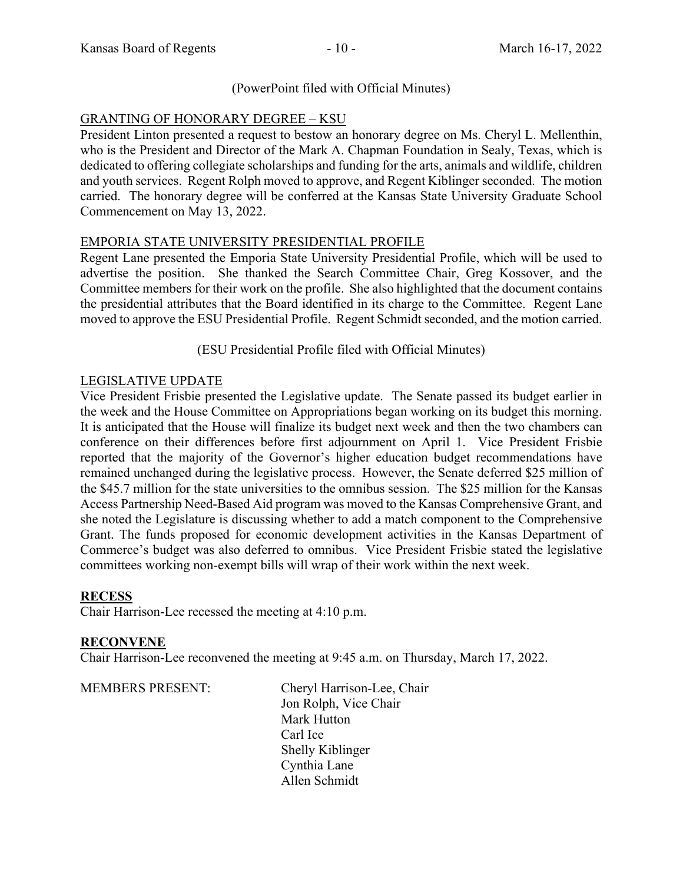## (PowerPoint filed with Official Minutes)

# GRANTING OF HONORARY DEGREE – KSU

President Linton presented a request to bestow an honorary degree on Ms. Cheryl L. Mellenthin, who is the President and Director of the Mark A. Chapman Foundation in Sealy, Texas, which is dedicated to offering collegiate scholarships and funding for the arts, animals and wildlife, children and youth services. Regent Rolph moved to approve, and Regent Kiblinger seconded. The motion carried. The honorary degree will be conferred at the Kansas State University Graduate School Commencement on May 13, 2022.

## EMPORIA STATE UNIVERSITY PRESIDENTIAL PROFILE

Regent Lane presented the Emporia State University Presidential Profile, which will be used to advertise the position. She thanked the Search Committee Chair, Greg Kossover, and the Committee members for their work on the profile. She also highlighted that the document contains the presidential attributes that the Board identified in its charge to the Committee. Regent Lane moved to approve the ESU Presidential Profile. Regent Schmidt seconded, and the motion carried.

(ESU Presidential Profile filed with Official Minutes)

## LEGISLATIVE UPDATE

Vice President Frisbie presented the Legislative update. The Senate passed its budget earlier in the week and the House Committee on Appropriations began working on its budget this morning. It is anticipated that the House will finalize its budget next week and then the two chambers can conference on their differences before first adjournment on April 1. Vice President Frisbie reported that the majority of the Governor's higher education budget recommendations have remained unchanged during the legislative process. However, the Senate deferred \$25 million of the \$45.7 million for the state universities to the omnibus session. The \$25 million for the Kansas Access Partnership Need-Based Aid program was moved to the Kansas Comprehensive Grant, and she noted the Legislature is discussing whether to add a match component to the Comprehensive Grant. The funds proposed for economic development activities in the Kansas Department of Commerce's budget was also deferred to omnibus. Vice President Frisbie stated the legislative committees working non-exempt bills will wrap of their work within the next week.

## **RECESS**

Chair Harrison-Lee recessed the meeting at 4:10 p.m.

## **RECONVENE**

Chair Harrison-Lee reconvened the meeting at 9:45 a.m. on Thursday, March 17, 2022.

MEMBERS PRESENT: Cheryl Harrison-Lee, Chair Jon Rolph, Vice Chair Mark Hutton Carl Ice Shelly Kiblinger Cynthia Lane Allen Schmidt